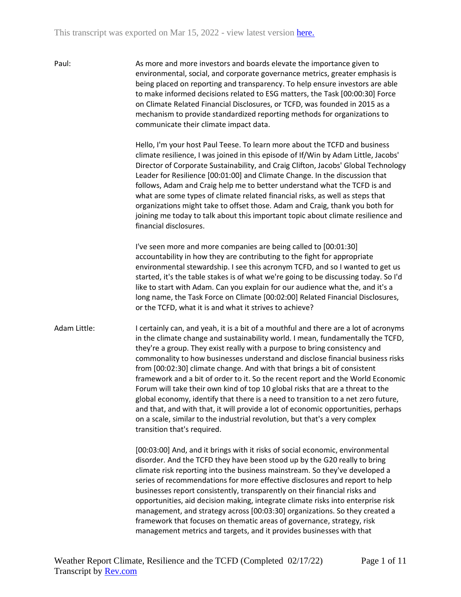Paul: As more and more investors and boards elevate the importance given to environmental, social, and corporate governance metrics, greater emphasis is being placed on reporting and transparency. To help ensure investors are able to make informed decisions related to ESG matters, the Task [00:00:30] Force on Climate Related Financial Disclosures, or TCFD, was founded in 2015 as a mechanism to provide standardized reporting methods for organizations to communicate their climate impact data.

> Hello, I'm your host Paul Teese. To learn more about the TCFD and business climate resilience, I was joined in this episode of If/Win by Adam Little, Jacobs' Director of Corporate Sustainability, and Craig Clifton, Jacobs' Global Technology Leader for Resilience [00:01:00] and Climate Change. In the discussion that follows, Adam and Craig help me to better understand what the TCFD is and what are some types of climate related financial risks, as well as steps that organizations might take to offset those. Adam and Craig, thank you both for joining me today to talk about this important topic about climate resilience and financial disclosures.

I've seen more and more companies are being called to [00:01:30] accountability in how they are contributing to the fight for appropriate environmental stewardship. I see this acronym TCFD, and so I wanted to get us started, it's the table stakes is of what we're going to be discussing today. So I'd like to start with Adam. Can you explain for our audience what the, and it's a long name, the Task Force on Climate [00:02:00] Related Financial Disclosures, or the TCFD, what it is and what it strives to achieve?

Adam Little: I certainly can, and yeah, it is a bit of a mouthful and there are a lot of acronyms in the climate change and sustainability world. I mean, fundamentally the TCFD, they're a group. They exist really with a purpose to bring consistency and commonality to how businesses understand and disclose financial business risks from [00:02:30] climate change. And with that brings a bit of consistent framework and a bit of order to it. So the recent report and the World Economic Forum will take their own kind of top 10 global risks that are a threat to the global economy, identify that there is a need to transition to a net zero future, and that, and with that, it will provide a lot of economic opportunities, perhaps on a scale, similar to the industrial revolution, but that's a very complex transition that's required.

> [00:03:00] And, and it brings with it risks of social economic, environmental disorder. And the TCFD they have been stood up by the G20 really to bring climate risk reporting into the business mainstream. So they've developed a series of recommendations for more effective disclosures and report to help businesses report consistently, transparently on their financial risks and opportunities, aid decision making, integrate climate risks into enterprise risk management, and strategy across [00:03:30] organizations. So they created a framework that focuses on thematic areas of governance, strategy, risk management metrics and targets, and it provides businesses with that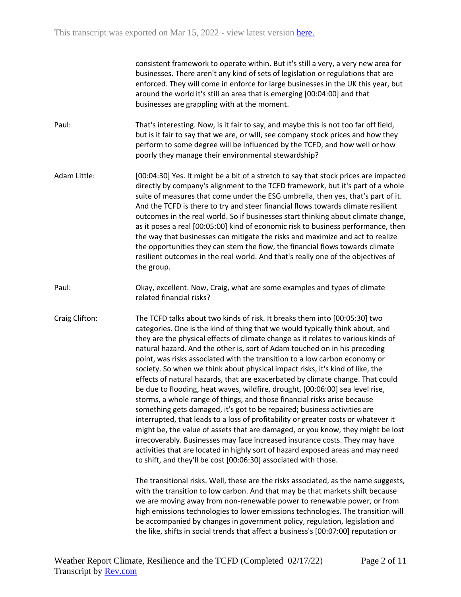consistent framework to operate within. But it's still a very, a very new area for businesses. There aren't any kind of sets of legislation or regulations that are enforced. They will come in enforce for large businesses in the UK this year, but around the world it's still an area that is emerging [00:04:00] and that businesses are grappling with at the moment.

Paul: That's interesting. Now, is it fair to say, and maybe this is not too far off field, but is it fair to say that we are, or will, see company stock prices and how they perform to some degree will be influenced by the TCFD, and how well or how poorly they manage their environmental stewardship?

Adam Little: [00:04:30] Yes. It might be a bit of a stretch to say that stock prices are impacted directly by company's alignment to the TCFD framework, but it's part of a whole suite of measures that come under the ESG umbrella, then yes, that's part of it. And the TCFD is there to try and steer financial flows towards climate resilient outcomes in the real world. So if businesses start thinking about climate change, as it poses a real [00:05:00] kind of economic risk to business performance, then the way that businesses can mitigate the risks and maximize and act to realize the opportunities they can stem the flow, the financial flows towards climate resilient outcomes in the real world. And that's really one of the objectives of the group.

Paul: Okay, excellent. Now, Craig, what are some examples and types of climate related financial risks?

Craig Clifton: The TCFD talks about two kinds of risk. It breaks them into [00:05:30] two categories. One is the kind of thing that we would typically think about, and they are the physical effects of climate change as it relates to various kinds of natural hazard. And the other is, sort of Adam touched on in his preceding point, was risks associated with the transition to a low carbon economy or society. So when we think about physical impact risks, it's kind of like, the effects of natural hazards, that are exacerbated by climate change. That could be due to flooding, heat waves, wildfire, drought, [00:06:00] sea level rise, storms, a whole range of things, and those financial risks arise because something gets damaged, it's got to be repaired; business activities are interrupted, that leads to a loss of profitability or greater costs or whatever it might be, the value of assets that are damaged, or you know, they might be lost irrecoverably. Businesses may face increased insurance costs. They may have activities that are located in highly sort of hazard exposed areas and may need to shift, and they'll be cost [00:06:30] associated with those.

> The transitional risks. Well, these are the risks associated, as the name suggests, with the transition to low carbon. And that may be that markets shift because we are moving away from non-renewable power to renewable power, or from high emissions technologies to lower emissions technologies. The transition will be accompanied by changes in government policy, regulation, legislation and the like, shifts in social trends that affect a business's [00:07:00] reputation or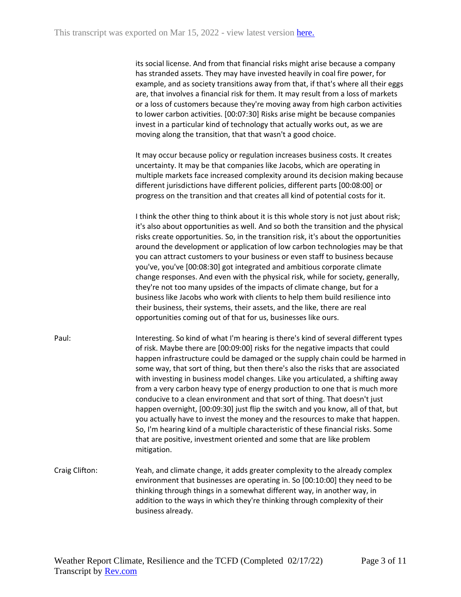its social license. And from that financial risks might arise because a company has stranded assets. They may have invested heavily in coal fire power, for example, and as society transitions away from that, if that's where all their eggs are, that involves a financial risk for them. It may result from a loss of markets or a loss of customers because they're moving away from high carbon activities to lower carbon activities. [00:07:30] Risks arise might be because companies invest in a particular kind of technology that actually works out, as we are moving along the transition, that that wasn't a good choice.

It may occur because policy or regulation increases business costs. It creates uncertainty. It may be that companies like Jacobs, which are operating in multiple markets face increased complexity around its decision making because different jurisdictions have different policies, different parts [00:08:00] or progress on the transition and that creates all kind of potential costs for it.

I think the other thing to think about it is this whole story is not just about risk; it's also about opportunities as well. And so both the transition and the physical risks create opportunities. So, in the transition risk, it's about the opportunities around the development or application of low carbon technologies may be that you can attract customers to your business or even staff to business because you've, you've [00:08:30] got integrated and ambitious corporate climate change responses. And even with the physical risk, while for society, generally, they're not too many upsides of the impacts of climate change, but for a business like Jacobs who work with clients to help them build resilience into their business, their systems, their assets, and the like, there are real opportunities coming out of that for us, businesses like ours.

- Paul: Interesting. So kind of what I'm hearing is there's kind of several different types of risk. Maybe there are [00:09:00] risks for the negative impacts that could happen infrastructure could be damaged or the supply chain could be harmed in some way, that sort of thing, but then there's also the risks that are associated with investing in business model changes. Like you articulated, a shifting away from a very carbon heavy type of energy production to one that is much more conducive to a clean environment and that sort of thing. That doesn't just happen overnight, [00:09:30] just flip the switch and you know, all of that, but you actually have to invest the money and the resources to make that happen. So, I'm hearing kind of a multiple characteristic of these financial risks. Some that are positive, investment oriented and some that are like problem mitigation.
- Craig Clifton: Yeah, and climate change, it adds greater complexity to the already complex environment that businesses are operating in. So [00:10:00] they need to be thinking through things in a somewhat different way, in another way, in addition to the ways in which they're thinking through complexity of their business already.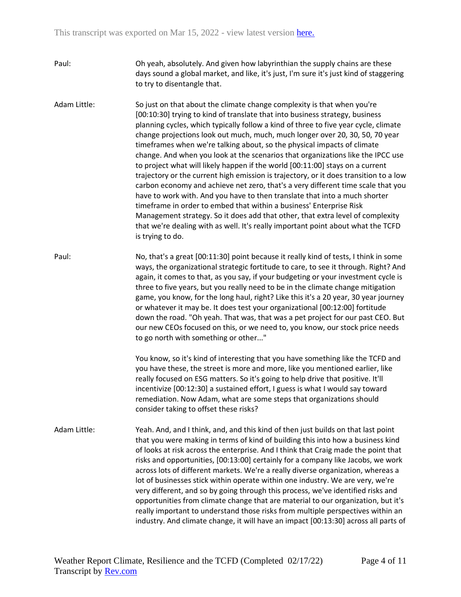- Paul: Oh yeah, absolutely. And given how labyrinthian the supply chains are these days sound a global market, and like, it's just, I'm sure it's just kind of staggering to try to disentangle that.
- Adam Little: So just on that about the climate change complexity is that when you're [00:10:30] trying to kind of translate that into business strategy, business planning cycles, which typically follow a kind of three to five year cycle, climate change projections look out much, much, much longer over 20, 30, 50, 70 year timeframes when we're talking about, so the physical impacts of climate change. And when you look at the scenarios that organizations like the IPCC use to project what will likely happen if the world [00:11:00] stays on a current trajectory or the current high emission is trajectory, or it does transition to a low carbon economy and achieve net zero, that's a very different time scale that you have to work with. And you have to then translate that into a much shorter timeframe in order to embed that within a business' Enterprise Risk Management strategy. So it does add that other, that extra level of complexity that we're dealing with as well. It's really important point about what the TCFD is trying to do.
- Paul: No, that's a great [00:11:30] point because it really kind of tests, I think in some ways, the organizational strategic fortitude to care, to see it through. Right? And again, it comes to that, as you say, if your budgeting or your investment cycle is three to five years, but you really need to be in the climate change mitigation game, you know, for the long haul, right? Like this it's a 20 year, 30 year journey or whatever it may be. It does test your organizational [00:12:00] fortitude down the road. "Oh yeah. That was, that was a pet project for our past CEO. But our new CEOs focused on this, or we need to, you know, our stock price needs to go north with something or other..."

You know, so it's kind of interesting that you have something like the TCFD and you have these, the street is more and more, like you mentioned earlier, like really focused on ESG matters. So it's going to help drive that positive. It'll incentivize [00:12:30] a sustained effort, I guess is what I would say toward remediation. Now Adam, what are some steps that organizations should consider taking to offset these risks?

Adam Little: Yeah. And, and I think, and, and this kind of then just builds on that last point that you were making in terms of kind of building this into how a business kind of looks at risk across the enterprise. And I think that Craig made the point that risks and opportunities, [00:13:00] certainly for a company like Jacobs, we work across lots of different markets. We're a really diverse organization, whereas a lot of businesses stick within operate within one industry. We are very, we're very different, and so by going through this process, we've identified risks and opportunities from climate change that are material to our organization, but it's really important to understand those risks from multiple perspectives within an industry. And climate change, it will have an impact [00:13:30] across all parts of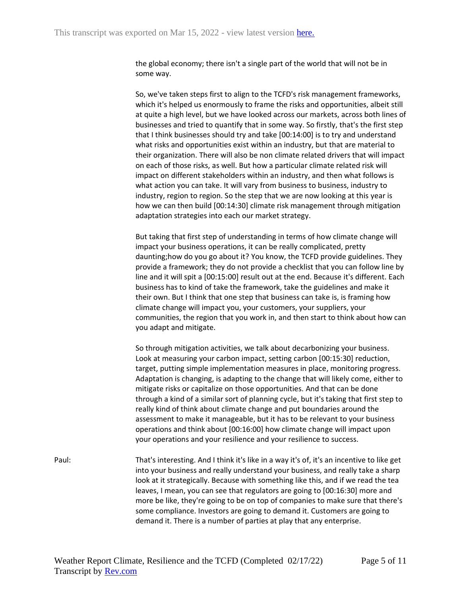the global economy; there isn't a single part of the world that will not be in some way.

So, we've taken steps first to align to the TCFD's risk management frameworks, which it's helped us enormously to frame the risks and opportunities, albeit still at quite a high level, but we have looked across our markets, across both lines of businesses and tried to quantify that in some way. So firstly, that's the first step that I think businesses should try and take [00:14:00] is to try and understand what risks and opportunities exist within an industry, but that are material to their organization. There will also be non climate related drivers that will impact on each of those risks, as well. But how a particular climate related risk will impact on different stakeholders within an industry, and then what follows is what action you can take. It will vary from business to business, industry to industry, region to region. So the step that we are now looking at this year is how we can then build [00:14:30] climate risk management through mitigation adaptation strategies into each our market strategy.

But taking that first step of understanding in terms of how climate change will impact your business operations, it can be really complicated, pretty daunting;how do you go about it? You know, the TCFD provide guidelines. They provide a framework; they do not provide a checklist that you can follow line by line and it will spit a [00:15:00] result out at the end. Because it's different. Each business has to kind of take the framework, take the guidelines and make it their own. But I think that one step that business can take is, is framing how climate change will impact you, your customers, your suppliers, your communities, the region that you work in, and then start to think about how can you adapt and mitigate.

So through mitigation activities, we talk about decarbonizing your business. Look at measuring your carbon impact, setting carbon [00:15:30] reduction, target, putting simple implementation measures in place, monitoring progress. Adaptation is changing, is adapting to the change that will likely come, either to mitigate risks or capitalize on those opportunities. And that can be done through a kind of a similar sort of planning cycle, but it's taking that first step to really kind of think about climate change and put boundaries around the assessment to make it manageable, but it has to be relevant to your business operations and think about [00:16:00] how climate change will impact upon your operations and your resilience and your resilience to success.

Paul: That's interesting. And I think it's like in a way it's of, it's an incentive to like get into your business and really understand your business, and really take a sharp look at it strategically. Because with something like this, and if we read the tea leaves, I mean, you can see that regulators are going to [00:16:30] more and more be like, they're going to be on top of companies to make sure that there's some compliance. Investors are going to demand it. Customers are going to demand it. There is a number of parties at play that any enterprise.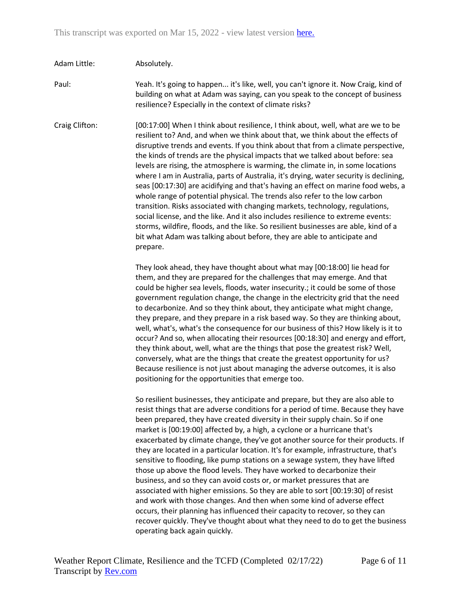## Adam Little: Absolutely.

Paul: Yeah. It's going to happen... it's like, well, you can't ignore it. Now Craig, kind of building on what at Adam was saying, can you speak to the concept of business resilience? Especially in the context of climate risks?

Craig Clifton: [00:17:00] When I think about resilience, I think about, well, what are we to be resilient to? And, and when we think about that, we think about the effects of disruptive trends and events. If you think about that from a climate perspective, the kinds of trends are the physical impacts that we talked about before: sea levels are rising, the atmosphere is warming, the climate in, in some locations where I am in Australia, parts of Australia, it's drying, water security is declining, seas [00:17:30] are acidifying and that's having an effect on marine food webs, a whole range of potential physical. The trends also refer to the low carbon transition. Risks associated with changing markets, technology, regulations, social license, and the like. And it also includes resilience to extreme events: storms, wildfire, floods, and the like. So resilient businesses are able, kind of a bit what Adam was talking about before, they are able to anticipate and prepare.

> They look ahead, they have thought about what may [00:18:00] lie head for them, and they are prepared for the challenges that may emerge. And that could be higher sea levels, floods, water insecurity.; it could be some of those government regulation change, the change in the electricity grid that the need to decarbonize. And so they think about, they anticipate what might change, they prepare, and they prepare in a risk based way. So they are thinking about, well, what's, what's the consequence for our business of this? How likely is it to occur? And so, when allocating their resources [00:18:30] and energy and effort, they think about, well, what are the things that pose the greatest risk? Well, conversely, what are the things that create the greatest opportunity for us? Because resilience is not just about managing the adverse outcomes, it is also positioning for the opportunities that emerge too.

> So resilient businesses, they anticipate and prepare, but they are also able to resist things that are adverse conditions for a period of time. Because they have been prepared, they have created diversity in their supply chain. So if one market is [00:19:00] affected by, a high, a cyclone or a hurricane that's exacerbated by climate change, they've got another source for their products. If they are located in a particular location. It's for example, infrastructure, that's sensitive to flooding, like pump stations on a sewage system, they have lifted those up above the flood levels. They have worked to decarbonize their business, and so they can avoid costs or, or market pressures that are associated with higher emissions. So they are able to sort [00:19:30] of resist and work with those changes. And then when some kind of adverse effect occurs, their planning has influenced their capacity to recover, so they can recover quickly. They've thought about what they need to do to get the business operating back again quickly.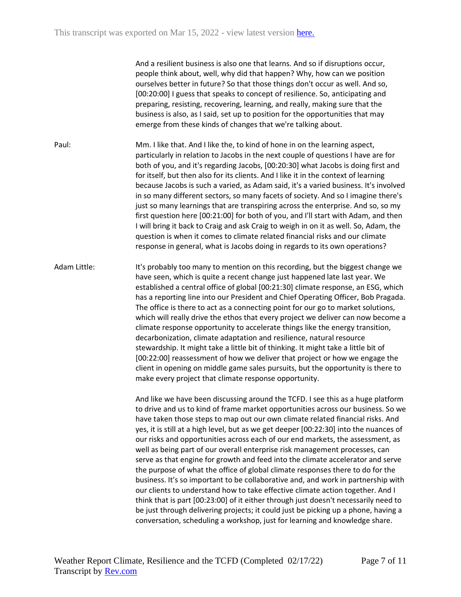And a resilient business is also one that learns. And so if disruptions occur, people think about, well, why did that happen? Why, how can we position ourselves better in future? So that those things don't occur as well. And so, [00:20:00] I guess that speaks to concept of resilience. So, anticipating and preparing, resisting, recovering, learning, and really, making sure that the business is also, as I said, set up to position for the opportunities that may emerge from these kinds of changes that we're talking about.

Paul: Mm. I like that. And I like the, to kind of hone in on the learning aspect, particularly in relation to Jacobs in the next couple of questions I have are for both of you, and it's regarding Jacobs, [00:20:30] what Jacobs is doing first and for itself, but then also for its clients. And I like it in the context of learning because Jacobs is such a varied, as Adam said, it's a varied business. It's involved in so many different sectors, so many facets of society. And so I imagine there's just so many learnings that are transpiring across the enterprise. And so, so my first question here [00:21:00] for both of you, and I'll start with Adam, and then I will bring it back to Craig and ask Craig to weigh in on it as well. So, Adam, the question is when it comes to climate related financial risks and our climate response in general, what is Jacobs doing in regards to its own operations?

Adam Little: It's probably too many to mention on this recording, but the biggest change we have seen, which is quite a recent change just happened late last year. We established a central office of global [00:21:30] climate response, an ESG, which has a reporting line into our President and Chief Operating Officer, Bob Pragada. The office is there to act as a connecting point for our go to market solutions, which will really drive the ethos that every project we deliver can now become a climate response opportunity to accelerate things like the energy transition, decarbonization, climate adaptation and resilience, natural resource stewardship. It might take a little bit of thinking. It might take a little bit of [00:22:00] reassessment of how we deliver that project or how we engage the client in opening on middle game sales pursuits, but the opportunity is there to make every project that climate response opportunity.

> And like we have been discussing around the TCFD. I see this as a huge platform to drive and us to kind of frame market opportunities across our business. So we have taken those steps to map out our own climate related financial risks. And yes, it is still at a high level, but as we get deeper [00:22:30] into the nuances of our risks and opportunities across each of our end markets, the assessment, as well as being part of our overall enterprise risk management processes, can serve as that engine for growth and feed into the climate accelerator and serve the purpose of what the office of global climate responses there to do for the business. It's so important to be collaborative and, and work in partnership with our clients to understand how to take effective climate action together. And I think that is part [00:23:00] of it either through just doesn't necessarily need to be just through delivering projects; it could just be picking up a phone, having a conversation, scheduling a workshop, just for learning and knowledge share.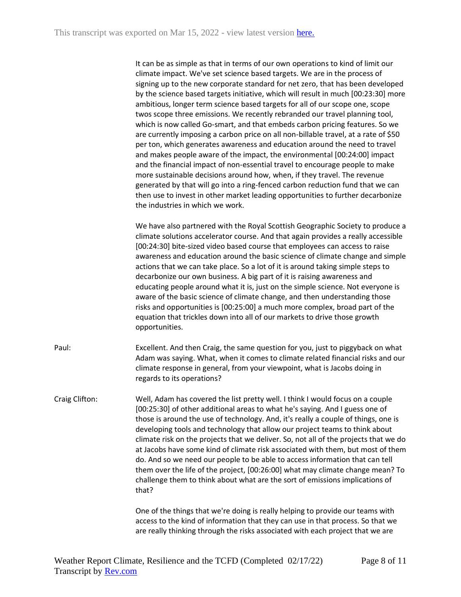It can be as simple as that in terms of our own operations to kind of limit our climate impact. We've set science based targets. We are in the process of signing up to the new corporate standard for net zero, that has been developed by the science based targets initiative, which will result in much [00:23:30] more ambitious, longer term science based targets for all of our scope one, scope twos scope three emissions. We recently rebranded our travel planning tool, which is now called Go-smart, and that embeds carbon pricing features. So we are currently imposing a carbon price on all non-billable travel, at a rate of \$50 per ton, which generates awareness and education around the need to travel and makes people aware of the impact, the environmental [00:24:00] impact and the financial impact of non-essential travel to encourage people to make more sustainable decisions around how, when, if they travel. The revenue generated by that will go into a ring-fenced carbon reduction fund that we can then use to invest in other market leading opportunities to further decarbonize the industries in which we work.

We have also partnered with the Royal Scottish Geographic Society to produce a climate solutions accelerator course. And that again provides a really accessible [00:24:30] bite-sized video based course that employees can access to raise awareness and education around the basic science of climate change and simple actions that we can take place. So a lot of it is around taking simple steps to decarbonize our own business. A big part of it is raising awareness and educating people around what it is, just on the simple science. Not everyone is aware of the basic science of climate change, and then understanding those risks and opportunities is [00:25:00] a much more complex, broad part of the equation that trickles down into all of our markets to drive those growth opportunities.

- Paul: Excellent. And then Craig, the same question for you, just to piggyback on what Adam was saying. What, when it comes to climate related financial risks and our climate response in general, from your viewpoint, what is Jacobs doing in regards to its operations?
- Craig Clifton: Well, Adam has covered the list pretty well. I think I would focus on a couple [00:25:30] of other additional areas to what he's saying. And I guess one of those is around the use of technology. And, it's really a couple of things, one is developing tools and technology that allow our project teams to think about climate risk on the projects that we deliver. So, not all of the projects that we do at Jacobs have some kind of climate risk associated with them, but most of them do. And so we need our people to be able to access information that can tell them over the life of the project, [00:26:00] what may climate change mean? To challenge them to think about what are the sort of emissions implications of that?

One of the things that we're doing is really helping to provide our teams with access to the kind of information that they can use in that process. So that we are really thinking through the risks associated with each project that we are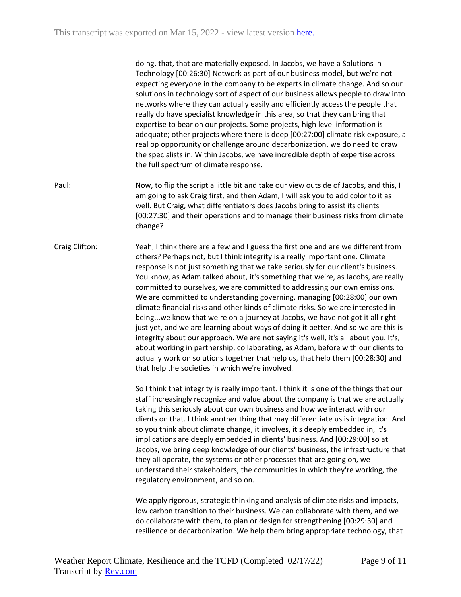doing, that, that are materially exposed. In Jacobs, we have a Solutions in Technology [00:26:30] Network as part of our business model, but we're not expecting everyone in the company to be experts in climate change. And so our solutions in technology sort of aspect of our business allows people to draw into networks where they can actually easily and efficiently access the people that really do have specialist knowledge in this area, so that they can bring that expertise to bear on our projects. Some projects, high level information is adequate; other projects where there is deep [00:27:00] climate risk exposure, a real op opportunity or challenge around decarbonization, we do need to draw the specialists in. Within Jacobs, we have incredible depth of expertise across the full spectrum of climate response.

Paul: Now, to flip the script a little bit and take our view outside of Jacobs, and this, I am going to ask Craig first, and then Adam, I will ask you to add color to it as well. But Craig, what differentiators does Jacobs bring to assist its clients [00:27:30] and their operations and to manage their business risks from climate change?

Craig Clifton: Yeah, I think there are a few and I guess the first one and are we different from others? Perhaps not, but I think integrity is a really important one. Climate response is not just something that we take seriously for our client's business. You know, as Adam talked about, it's something that we're, as Jacobs, are really committed to ourselves, we are committed to addressing our own emissions. We are committed to understanding governing, managing [00:28:00] our own climate financial risks and other kinds of climate risks. So we are interested in being...we know that we're on a journey at Jacobs, we have not got it all right just yet, and we are learning about ways of doing it better. And so we are this is integrity about our approach. We are not saying it's well, it's all about you. It's, about working in partnership, collaborating, as Adam, before with our clients to actually work on solutions together that help us, that help them [00:28:30] and that help the societies in which we're involved.

> So I think that integrity is really important. I think it is one of the things that our staff increasingly recognize and value about the company is that we are actually taking this seriously about our own business and how we interact with our clients on that. I think another thing that may differentiate us is integration. And so you think about climate change, it involves, it's deeply embedded in, it's implications are deeply embedded in clients' business. And [00:29:00] so at Jacobs, we bring deep knowledge of our clients' business, the infrastructure that they all operate, the systems or other processes that are going on, we understand their stakeholders, the communities in which they're working, the regulatory environment, and so on.

We apply rigorous, strategic thinking and analysis of climate risks and impacts, low carbon transition to their business. We can collaborate with them, and we do collaborate with them, to plan or design for strengthening [00:29:30] and resilience or decarbonization. We help them bring appropriate technology, that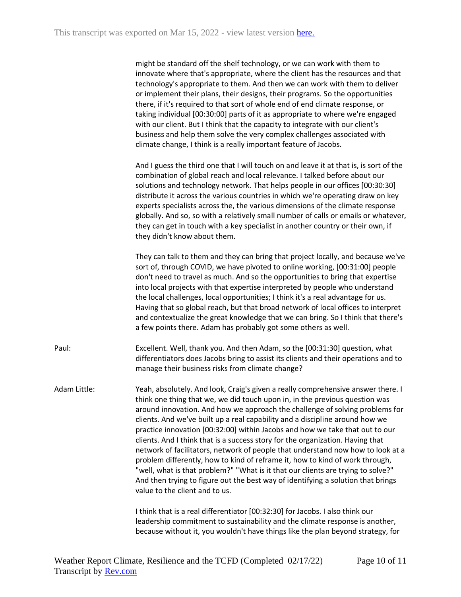might be standard off the shelf technology, or we can work with them to innovate where that's appropriate, where the client has the resources and that technology's appropriate to them. And then we can work with them to deliver or implement their plans, their designs, their programs. So the opportunities there, if it's required to that sort of whole end of end climate response, or taking individual [00:30:00] parts of it as appropriate to where we're engaged with our client. But I think that the capacity to integrate with our client's business and help them solve the very complex challenges associated with climate change, I think is a really important feature of Jacobs.

And I guess the third one that I will touch on and leave it at that is, is sort of the combination of global reach and local relevance. I talked before about our solutions and technology network. That helps people in our offices [00:30:30] distribute it across the various countries in which we're operating draw on key experts specialists across the, the various dimensions of the climate response globally. And so, so with a relatively small number of calls or emails or whatever, they can get in touch with a key specialist in another country or their own, if they didn't know about them.

They can talk to them and they can bring that project locally, and because we've sort of, through COVID, we have pivoted to online working, [00:31:00] people don't need to travel as much. And so the opportunities to bring that expertise into local projects with that expertise interpreted by people who understand the local challenges, local opportunities; I think it's a real advantage for us. Having that so global reach, but that broad network of local offices to interpret and contextualize the great knowledge that we can bring. So I think that there's a few points there. Adam has probably got some others as well.

Paul: Excellent. Well, thank you. And then Adam, so the [00:31:30] question, what differentiators does Jacobs bring to assist its clients and their operations and to manage their business risks from climate change?

Adam Little: Yeah, absolutely. And look, Craig's given a really comprehensive answer there. I think one thing that we, we did touch upon in, in the previous question was around innovation. And how we approach the challenge of solving problems for clients. And we've built up a real capability and a discipline around how we practice innovation [00:32:00] within Jacobs and how we take that out to our clients. And I think that is a success story for the organization. Having that network of facilitators, network of people that understand now how to look at a problem differently, how to kind of reframe it, how to kind of work through, "well, what is that problem?" "What is it that our clients are trying to solve?" And then trying to figure out the best way of identifying a solution that brings value to the client and to us.

> I think that is a real differentiator [00:32:30] for Jacobs. I also think our leadership commitment to sustainability and the climate response is another, because without it, you wouldn't have things like the plan beyond strategy, for